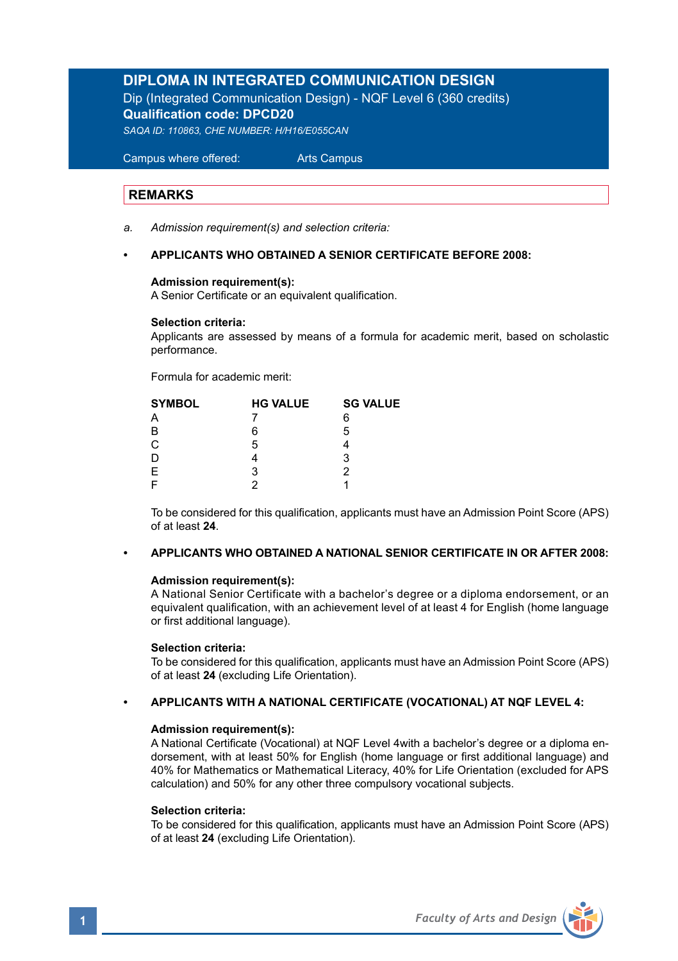# **DIPLOMA IN INTEGRATED COMMUNICATION DESIGN**

Dip (Integrated Communication Design) - NQF Level 6 (360 credits) **Qualification code: DPCD20** *SAQA ID: 110863, CHE NUMBER: H/H16/E055CAN*

 Campus where offered: Arts Campus

### **REMARKS**

*a. Admission requirement(s) and selection criteria:* 

### **• APPLICANTS WHO OBTAINED A SENIOR CERTIFICATE BEFORE 2008:**

### **Admission requirement(s):**

A Senior Certificate or an equivalent qualification.

#### **Selection criteria:**

Applicants are assessed by means of a formula for academic merit, based on scholastic performance.

Formula for academic merit:

| <b>HG VALUE</b> | <b>SG VALUE</b> |  |
|-----------------|-----------------|--|
|                 | 6               |  |
| 6               | 5               |  |
| 5               |                 |  |
|                 | 3               |  |
| 3               | っ               |  |
| າ               |                 |  |
|                 |                 |  |

 To be considered for this qualification, applicants must have an Admission Point Score (APS) of at least **24**.

### **• APPLICANTS WHO OBTAINED A NATIONAL SENIOR CERTIFICATE IN OR AFTER 2008:**

### **Admission requirement(s):**

 A National Senior Certificate with a bachelor's degree or a diploma endorsement, or an equivalent qualification, with an achievement level of at least 4 for English (home language or first additional language).

#### **Selection criteria:**

To be considered for this qualification, applicants must have an Admission Point Score (APS) of at least **24** (excluding Life Orientation).

#### **• APPLICANTS WITH A NATIONAL CERTIFICATE (VOCATIONAL) AT NQF LEVEL 4:**

### **Admission requirement(s):**

 A National Certificate (Vocational) at NQF Level 4with a bachelor's degree or a diploma en dorsement, with at least 50% for English (home language or first additional language) and 40% for Mathematics or Mathematical Literacy, 40% for Life Orientation (excluded for APS calculation) and 50% for any other three compulsory vocational subjects.

### **Selection criteria:**

To be considered for this qualification, applicants must have an Admission Point Score (APS) of at least **24** (excluding Life Orientation).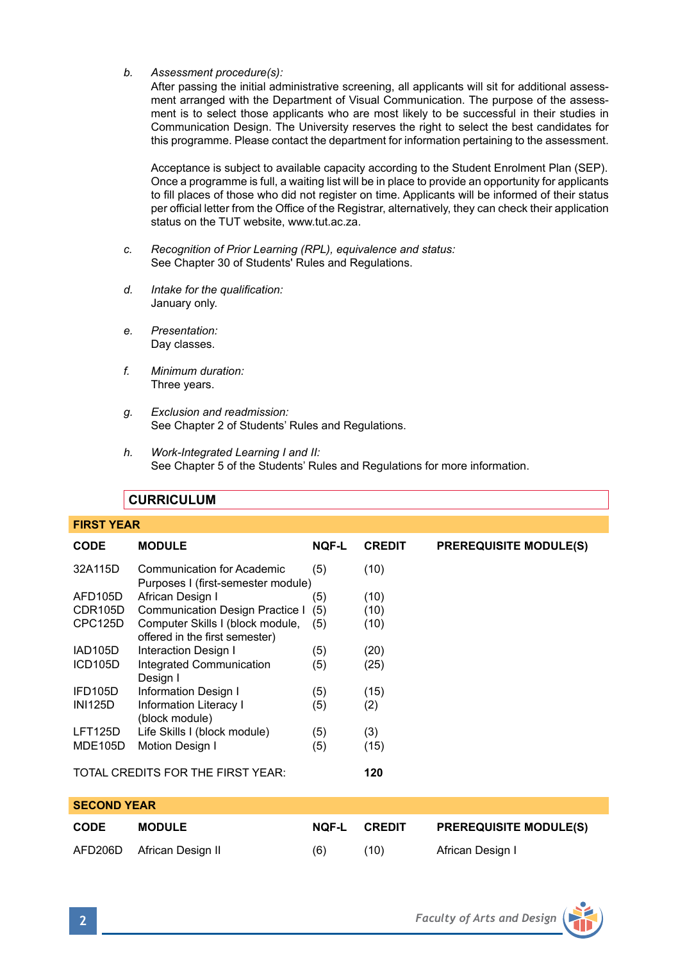*b. Assessment procedure(s):* 

After passing the initial administrative screening, all applicants will sit for additional assessment arranged with the Department of Visual Communication. The purpose of the assessment is to select those applicants who are most likely to be successful in their studies in Communication Design. The University reserves the right to select the best candidates for this programme. Please contact the department for information pertaining to the assessment.

 Acceptance is subject to available capacity according to the Student Enrolment Plan (SEP). Once a programme is full, a waiting list will be in place to provide an opportunity for applicants to fill places of those who did not register on time. Applicants will be informed of their status per official letter from the Office of the Registrar, alternatively, they can check their application status on the TUT website, www.tut.ac.za.

- *c. Recognition of Prior Learning (RPL), equivalence and status:* See Chapter 30 of Students' Rules and Regulations.
- *d. Intake for the qualification:* January only.
- *e. Presentation:* Day classes.
- *f. Minimum duration:* Three years.
- *g. Exclusion and readmission:* See Chapter 2 of Students' Rules and Regulations.
- *h. Work-Integrated Learning I and II:*  See Chapter 5 of the Students' Rules and Regulations for more information.

|                    | <b>CURRICULUM</b>                                                  |              |               |                               |
|--------------------|--------------------------------------------------------------------|--------------|---------------|-------------------------------|
| <b>FIRST YEAR</b>  |                                                                    |              |               |                               |
| <b>CODE</b>        | <b>MODULE</b>                                                      | <b>NOF-L</b> | <b>CREDIT</b> | <b>PREREQUISITE MODULE(S)</b> |
| 32A115D            | Communication for Academic<br>Purposes I (first-semester module)   | (5)          | (10)          |                               |
| AFD105D            | African Design I                                                   | (5)          | (10)          |                               |
| CDR105D            | Communication Design Practice I                                    | (5)          | (10)          |                               |
| CPC125D            | Computer Skills I (block module,<br>offered in the first semester) | (5)          | (10)          |                               |
| <b>IAD105D</b>     | Interaction Design I                                               | (5)          | (20)          |                               |
| ICD105D            | Integrated Communication<br>Design I                               | (5)          | (25)          |                               |
| IFD105D            | Information Design I                                               | (5)          | (15)          |                               |
| <b>INI125D</b>     | Information Literacy I<br>(block module)                           | (5)          | (2)           |                               |
| LFT125D            | Life Skills I (block module)                                       | (5)          | (3)           |                               |
| <b>MDE105D</b>     | Motion Design I                                                    | (5)          | (15)          |                               |
|                    | TOTAL CREDITS FOR THE FIRST YEAR:                                  |              | 120           |                               |
| <b>SECOND YEAR</b> |                                                                    |              |               |                               |
| <b>CODE</b>        | <b>MODULE</b>                                                      | <b>NOF-L</b> | <b>CREDIT</b> | <b>PREREQUISITE MODULE(S)</b> |
| AFD206D            | African Design II                                                  | (6)          | (10)          | African Design I              |
|                    |                                                                    |              |               |                               |

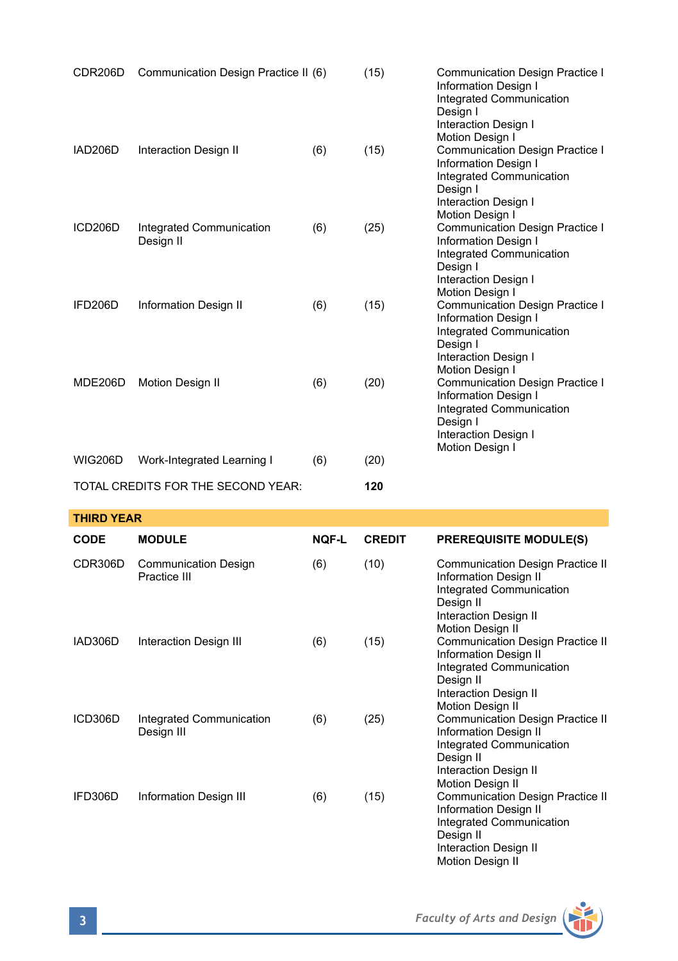| CDR206D        | Communication Design Practice II (6)  |     | (15) | Communication Design Practice I<br>Information Design I<br>Integrated Communication<br>Design I<br>Interaction Design I                                                     |
|----------------|---------------------------------------|-----|------|-----------------------------------------------------------------------------------------------------------------------------------------------------------------------------|
| IAD206D        | Interaction Design II                 | (6) | (15) | Motion Design I<br><b>Communication Design Practice I</b><br>Information Design I<br>Integrated Communication<br>Design I<br>Interaction Design I                           |
| ICD206D        | Integrated Communication<br>Design II | (6) | (25) | Motion Design I<br>Communication Design Practice I<br>Information Design I<br>Integrated Communication<br>Design I<br>Interaction Design I                                  |
| IFD206D        | Information Design II                 | (6) | (15) | Motion Design I<br><b>Communication Design Practice I</b><br><b>Information Design I</b><br>Integrated Communication<br>Design I<br>Interaction Design I<br>Motion Design I |
| MDE206D        | <b>Motion Design II</b>               | (6) | (20) | <b>Communication Design Practice I</b><br>Information Design I<br>Integrated Communication<br>Design I<br>Interaction Design I<br>Motion Design I                           |
| <b>WIG206D</b> | Work-Integrated Learning I            | (6) | (20) |                                                                                                                                                                             |
|                | TOTAL CREDITS FOR THE SECOND YEAR:    |     | 120  |                                                                                                                                                                             |

| <b>THIRD YEAR</b> |                                             |              |               |                                                                                                                                                        |
|-------------------|---------------------------------------------|--------------|---------------|--------------------------------------------------------------------------------------------------------------------------------------------------------|
| <b>CODE</b>       | <b>MODULE</b>                               | <b>NOF-L</b> | <b>CREDIT</b> | <b>PREREQUISITE MODULE(S)</b>                                                                                                                          |
| CDR306D           | <b>Communication Design</b><br>Practice III | (6)          | (10)          | Communication Design Practice II<br>Information Design II<br>Integrated Communication<br>Design II<br>Interaction Design II<br>Motion Design II        |
| IAD306D           | Interaction Design III                      | (6)          | (15)          | Communication Design Practice II<br><b>Information Design II</b><br>Integrated Communication<br>Design II<br>Interaction Design II<br>Motion Design II |
| ICD306D           | Integrated Communication<br>Design III      | (6)          | (25)          | <b>Communication Design Practice II</b><br>Information Design II<br>Integrated Communication<br>Design II<br>Interaction Design II<br>Motion Design II |
| IFD306D           | Information Design III                      | (6)          | (15)          | Communication Design Practice II<br>Information Design II<br>Integrated Communication<br>Design II                                                     |

Motion Design II

Interaction Design II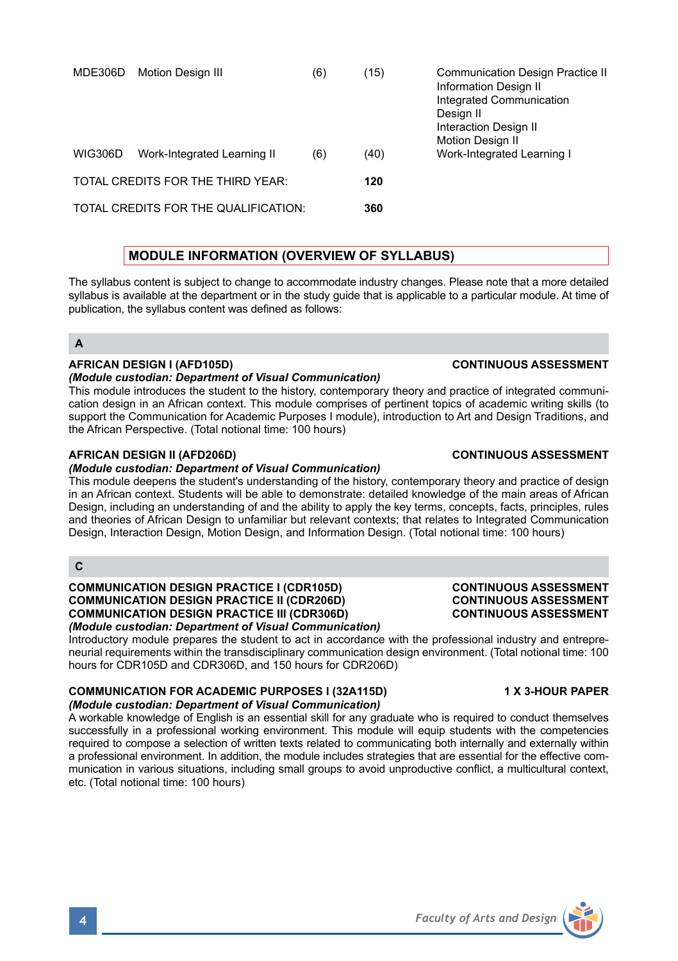**4** *Faculty of Arts and Design*

# Introductory module prepares the student to act in accordance with the professional industry and entrepre-

# neurial requirements within the transdisciplinary communication design environment. (Total notional time: 100

# hours for CDR105D and CDR306D, and 150 hours for CDR206D) **COMMUNICATION FOR ACADEMIC PURPOSES I (32A115D) 1 X 3-HOUR PAPER**

# *(Module custodian: Department of Visual Communication)*

**COMMUNICATION DESIGN PRACTICE III (CDR306D)** *(Module custodian: Department of Visual Communication)*

A workable knowledge of English is an essential skill for any graduate who is required to conduct themselves successfully in a professional working environment. This module will equip students with the competencies required to compose a selection of written texts related to communicating both internally and externally within a professional environment. In addition, the module includes strategies that are essential for the effective communication in various situations, including small groups to avoid unproductive conflict, a multicultural context, etc. (Total notional time: 100 hours)

Design, Interaction Design, Motion Design, and Information Design. (Total notional time: 100 hours) **C**

The syllabus content is subject to change to accommodate industry changes. Please note that a more detailed<br>syllabus is available at the department or in the study quide that is applicable to a particular module. At time o syllabus is availabl publication, the syllabus content was defined as follows:

# **A**

# **AFRICAN DESIGN I (AFD105D) CONTINUOUS ASSESSMENT**

*(Module custodian: Department of Visual Communication)* This module introduces the student to the history, contemporary theory and practice of integrated communication design in an African context. This module comprises of pertinent topics of academic writing skills (to support the Communication for Academic Purposes I module), introduction to Art and Design Traditions, and the African Perspective. (Total notional time: 100 hours)

### **AFRICAN DESIGN II (AFD206D) CONTINUOUS ASSESSMENT**

### *(Module custodian: Department of Visual Communication)*

This module deepens the student's understanding of the history, contemporary theory and practice of design in an African context. Students will be able to demonstrate: detailed knowledge of the main areas of African Design, including an understanding of and the ability to apply the key terms, concepts, facts, principles, rules and theories of African Design to unfamiliar but relevant contexts; that relates to Integrated Communication

# **COMMUNICATION DESIGN PRACTICE I (CDR105D) CONTINUOUS ASSESSMENT COMMUNICATION DESIGN PRACTICE II (CDR206D) CONTINUOUS ASSESSMENT**

| . ביוטו ושאט וואר שטאבוו וטאווטו                                                                                                                                      | uuu |  |  |
|-----------------------------------------------------------------------------------------------------------------------------------------------------------------------|-----|--|--|
| <b>MODULE INFORMATION (OVERVIEW OF SYLLABUS)</b>                                                                                                                      |     |  |  |
| s content is subiect to change to accommodate industry changes. Please note tl<br>vailable at the department or in the study quide that is applicable to a particular |     |  |  |

| MDE306D        | Motion Design III                    | (6) | (15) | <b>Communication Design Practice II</b><br>Information Design II<br>Integrated Communication<br>Design II<br>Interaction Design II<br>Motion Design II |
|----------------|--------------------------------------|-----|------|--------------------------------------------------------------------------------------------------------------------------------------------------------|
| <b>WIG306D</b> | Work-Integrated Learning II          | (6) | (40) | Work-Integrated Learning I                                                                                                                             |
|                | TOTAL CREDITS FOR THE THIRD YEAR:    |     | 120  |                                                                                                                                                        |
|                | TOTAL CREDITS FOR THE QUALIFICATION: |     | 360  |                                                                                                                                                        |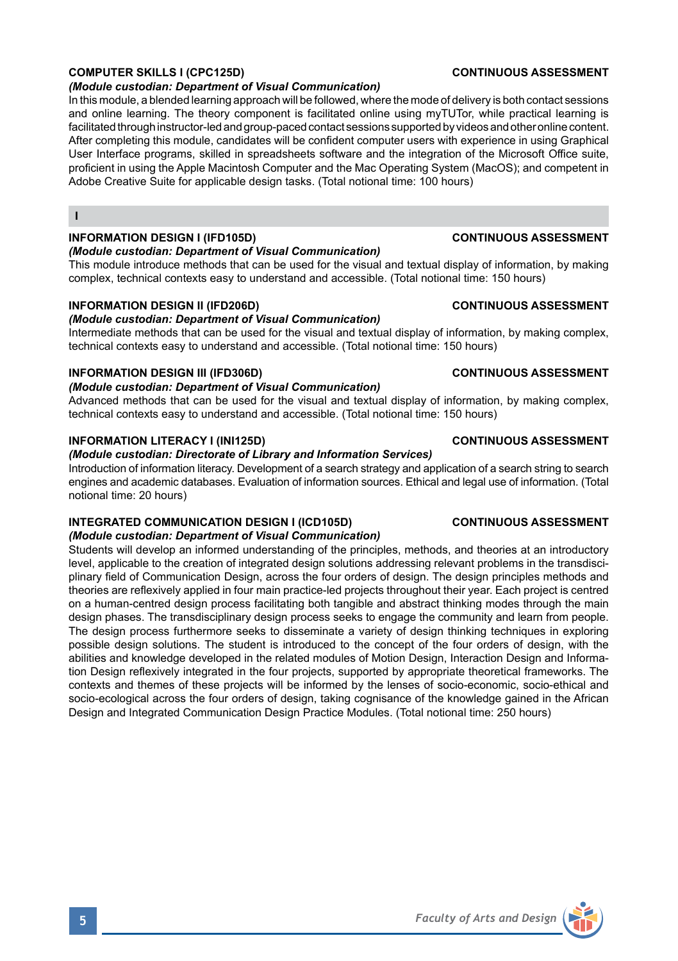# **COMPUTER SKILLS I (CPC125D) CONTINUOUS ASSESSMENT**

## *(Module custodian: Department of Visual Communication)*

In this module, a blended learning approach will be followed, where the mode of delivery is both contact sessions and online learning. The theory component is facilitated online using myTUTor, while practical learning is facilitated through instructor-led and group-paced contact sessions supported by videos and other online content. After completing this module, candidates will be confident computer users with experience in using Graphical User Interface programs, skilled in spreadsheets software and the integration of the Microsoft Office suite, proficient in using the Apple Macintosh Computer and the Mac Operating System (MacOS); and competent in Adobe Creative Suite for applicable design tasks. (Total notional time: 100 hours)

# **INFORMATION DESIGN I (IFD105D) CONTINUOUS ASSESSMENT**

**I**

# *(Module custodian: Department of Visual Communication)*

This module introduce methods that can be used for the visual and textual display of information, by making complex, technical contexts easy to understand and accessible. (Total notional time: 150 hours)

# **INFORMATION DESIGN II (IFD206D) CONTINUOUS ASSESSMENT**

# *(Module custodian: Department of Visual Communication)*

Intermediate methods that can be used for the visual and textual display of information, by making complex, technical contexts easy to understand and accessible. (Total notional time: 150 hours)

# **INFORMATION DESIGN III (IFD306D) CONTINUOUS ASSESSMENT**

# *(Module custodian: Department of Visual Communication)*

Advanced methods that can be used for the visual and textual display of information, by making complex, technical contexts easy to understand and accessible. (Total notional time: 150 hours)

# **INFORMATION LITERACY I (INI125D) CONTINUOUS ASSESSMENT**

# *(Module custodian: Directorate of Library and Information Services)*

Introduction of information literacy. Development of a search strategy and application of a search string to search engines and academic databases. Evaluation of information sources. Ethical and legal use of information. (Total notional time: 20 hours)

#### **INTEGRATED COMMUNICATION DESIGN I (ICD105D) CONTINUOUS ASSESSMENT** *(Module custodian: Department of Visual Communication)*

Students will develop an informed understanding of the principles, methods, and theories at an introductory level, applicable to the creation of integrated design solutions addressing relevant problems in the transdisciplinary field of Communication Design, across the four orders of design. The design principles methods and theories are reflexively applied in four main practice-led projects throughout their year. Each project is centred on a human-centred design process facilitating both tangible and abstract thinking modes through the main design phases. The transdisciplinary design process seeks to engage the community and learn from people. The design process furthermore seeks to disseminate a variety of design thinking techniques in exploring possible design solutions. The student is introduced to the concept of the four orders of design, with the abilities and knowledge developed in the related modules of Motion Design, Interaction Design and Information Design reflexively integrated in the four projects, supported by appropriate theoretical frameworks. The contexts and themes of these projects will be informed by the lenses of socio-economic, socio-ethical and socio-ecological across the four orders of design, taking cognisance of the knowledge gained in the African Design and Integrated Communication Design Practice Modules. (Total notional time: 250 hours)

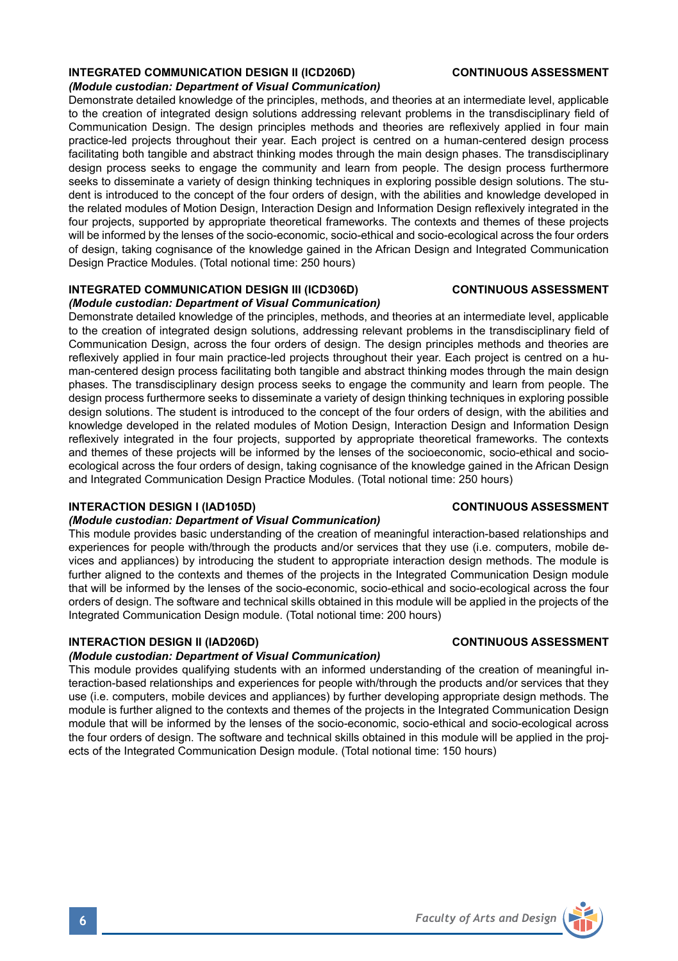# **INTEGRATED COMMUNICATION DESIGN II (ICD206D) CONTINUOUS ASSESSMENT**

#### *(Module custodian: Department of Visual Communication)*

Demonstrate detailed knowledge of the principles, methods, and theories at an intermediate level, applicable to the creation of integrated design solutions addressing relevant problems in the transdisciplinary field of Communication Design. The design principles methods and theories are reflexively applied in four main practice-led projects throughout their year. Each project is centred on a human-centered design process facilitating both tangible and abstract thinking modes through the main design phases. The transdisciplinary design process seeks to engage the community and learn from people. The design process furthermore seeks to disseminate a variety of design thinking techniques in exploring possible design solutions. The student is introduced to the concept of the four orders of design, with the abilities and knowledge developed in the related modules of Motion Design, Interaction Design and Information Design reflexively integrated in the four projects, supported by appropriate theoretical frameworks. The contexts and themes of these projects will be informed by the lenses of the socio-economic, socio-ethical and socio-ecological across the four orders of design, taking cognisance of the knowledge gained in the African Design and Integrated Communication Design Practice Modules. (Total notional time: 250 hours)

# **INTEGRATED COMMUNICATION DESIGN III (ICD306D) CONTINUOUS ASSESSMENT**

# *(Module custodian: Department of Visual Communication)*

Demonstrate detailed knowledge of the principles, methods, and theories at an intermediate level, applicable to the creation of integrated design solutions, addressing relevant problems in the transdisciplinary field of Communication Design, across the four orders of design. The design principles methods and theories are reflexively applied in four main practice-led projects throughout their year. Each project is centred on a human-centered design process facilitating both tangible and abstract thinking modes through the main design phases. The transdisciplinary design process seeks to engage the community and learn from people. The design process furthermore seeks to disseminate a variety of design thinking techniques in exploring possible design solutions. The student is introduced to the concept of the four orders of design, with the abilities and knowledge developed in the related modules of Motion Design, Interaction Design and Information Design reflexively integrated in the four projects, supported by appropriate theoretical frameworks. The contexts and themes of these projects will be informed by the lenses of the socioeconomic, socio-ethical and socioecological across the four orders of design, taking cognisance of the knowledge gained in the African Design and Integrated Communication Design Practice Modules. (Total notional time: 250 hours)

## **INTERACTION DESIGN I (IAD105D) CONTINUOUS ASSESSMENT**

## *(Module custodian: Department of Visual Communication)*

This module provides basic understanding of the creation of meaningful interaction-based relationships and experiences for people with/through the products and/or services that they use (i.e. computers, mobile devices and appliances) by introducing the student to appropriate interaction design methods. The module is further aligned to the contexts and themes of the projects in the Integrated Communication Design module that will be informed by the lenses of the socio-economic, socio-ethical and socio-ecological across the four orders of design. The software and technical skills obtained in this module will be applied in the projects of the Integrated Communication Design module. (Total notional time: 200 hours)

# **INTERACTION DESIGN II (IAD206D) CONTINUOUS ASSESSMENT**

# *(Module custodian: Department of Visual Communication)*

This module provides qualifying students with an informed understanding of the creation of meaningful interaction-based relationships and experiences for people with/through the products and/or services that they use (i.e. computers, mobile devices and appliances) by further developing appropriate design methods. The module is further aligned to the contexts and themes of the projects in the Integrated Communication Design module that will be informed by the lenses of the socio-economic, socio-ethical and socio-ecological across the four orders of design. The software and technical skills obtained in this module will be applied in the projects of the Integrated Communication Design module. (Total notional time: 150 hours)